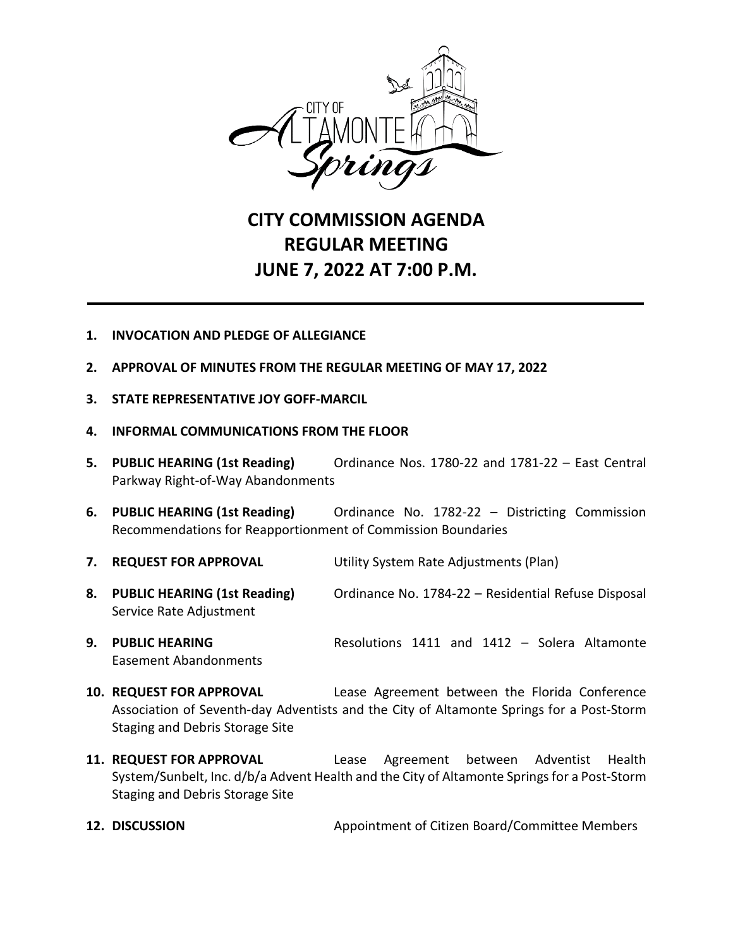

# **CITY COMMISSION AGENDA REGULAR MEETING JUNE 7, 2022 AT 7:00 P.M.**

### **1. INVOCATION AND PLEDGE OF ALLEGIANCE**

- **2. APPROVAL OF MINUTES FROM THE REGULAR MEETING OF MAY 17, 2022**
- **3. STATE REPRESENTATIVE JOY GOFF-MARCIL**
- **4. INFORMAL COMMUNICATIONS FROM THE FLOOR**
- **5. PUBLIC HEARING (1st Reading)** Ordinance Nos. 1780-22 and 1781-22 East Central Parkway Right-of-Way Abandonments
- **6. PUBLIC HEARING (1st Reading)** Ordinance No. 1782-22 Districting Commission Recommendations for Reapportionment of Commission Boundaries
- **7. REQUEST FOR APPROVAL** Utility System Rate Adjustments (Plan)
- **8. PUBLIC HEARING (1st Reading)** Ordinance No. 1784-22 Residential Refuse Disposal Service Rate Adjustment
- **9. PUBLIC HEARING** Resolutions 1411 and 1412 Solera Altamonte Easement Abandonments
- **10. REQUEST FOR APPROVAL** Lease Agreement between the Florida Conference Association of Seventh-day Adventists and the City of Altamonte Springs for a Post-Storm Staging and Debris Storage Site
- **11. REQUEST FOR APPROVAL** Lease Agreement between Adventist Health System/Sunbelt, Inc. d/b/a Advent Health and the City of Altamonte Springsfor a Post-Storm Staging and Debris Storage Site
- **12. DISCUSSION** Appointment of Citizen Board/Committee Members